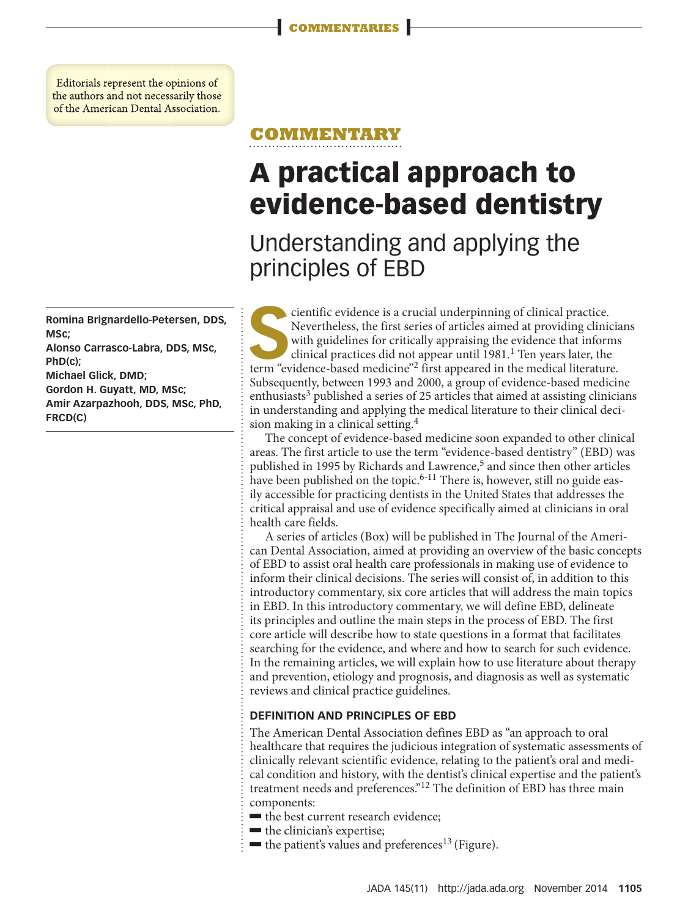Editorials represent the opinions of the authors and not necessarily those of the American Dental Association.

**Romina Brignardello-Petersen, DDS, MSc;** 

**Alonso Carrasco-Labra, DDS, MSc, PhD(c);** 

**Michael Glick, DMD;** 

**Gordon H. Guyatt, MD, MSc; Amir Azarpazhooh, DDS, MSc, PhD, FRCD(C)**

## **COMMENTARY**

# **A practical approach to evidence-based dentistry**

# Understanding and applying the principles of EBD

Scientific evidence is a crucial underpinning of clinical practice.<br>Nevertheless, the first series of articles aimed at providing clinical with guidelines for critically appraising the evidence that inform clinical practic Nevertheless, the first series of articles aimed at providing clinicians with guidelines for critically appraising the evidence that informs clinical practices did not appear until 1981.<sup>1</sup> Ten years later, the term "evidence-based medicine"<sup>2</sup> first appeared in the medical literature. Subsequently, between 1993 and 2000, a group of evidence-based medicine enthusiasts<sup>3</sup> published a series of 25 articles that aimed at assisting clinicians in understanding and applying the medical literature to their clinical decision making in a clinical setting.<sup>4</sup>

The concept of evidence-based medicine soon expanded to other clinical areas. The first article to use the term "evidence-based dentistry" (EBD) was published in 1995 by Richards and Lawrence,<sup>5</sup> and since then other articles have been published on the topic.<sup>6-11</sup> There is, however, still no guide easily accessible for practicing dentists in the United States that addresses the critical appraisal and use of evidence specifically aimed at clinicians in oral health care fields.

A series of articles (Box) will be published in The Journal of the American Dental Association, aimed at providing an overview of the basic concepts of EBD to assist oral health care professionals in making use of evidence to inform their clinical decisions. The series will consist of, in addition to this introductory commentary, six core articles that will address the main topics in EBD. In this introductory commentary, we will define EBD, delineate its principles and outline the main steps in the process of EBD. The first core article will describe how to state questions in a format that facilitates searching for the evidence, and where and how to search for such evidence. In the remaining articles, we will explain how to use literature about therapy and prevention, etiology and prognosis, and diagnosis as well as systematic reviews and clinical practice guidelines.

#### **DEFINITION AND PRINCIPLES OF EBD**

The American Dental Association defines EBD as "an approach to oral healthcare that requires the judicious integration of systematic assessments of clinically relevant scientific evidence, relating to the patient's oral and medical condition and history, with the dentist's clinical expertise and the patient's treatment needs and preferences."12 The definition of EBD has three main components:

- the best current research evidence;
- $\blacksquare$  the clinician's expertise;
- $\blacksquare$  the patient's values and preferences<sup>13</sup> (Figure).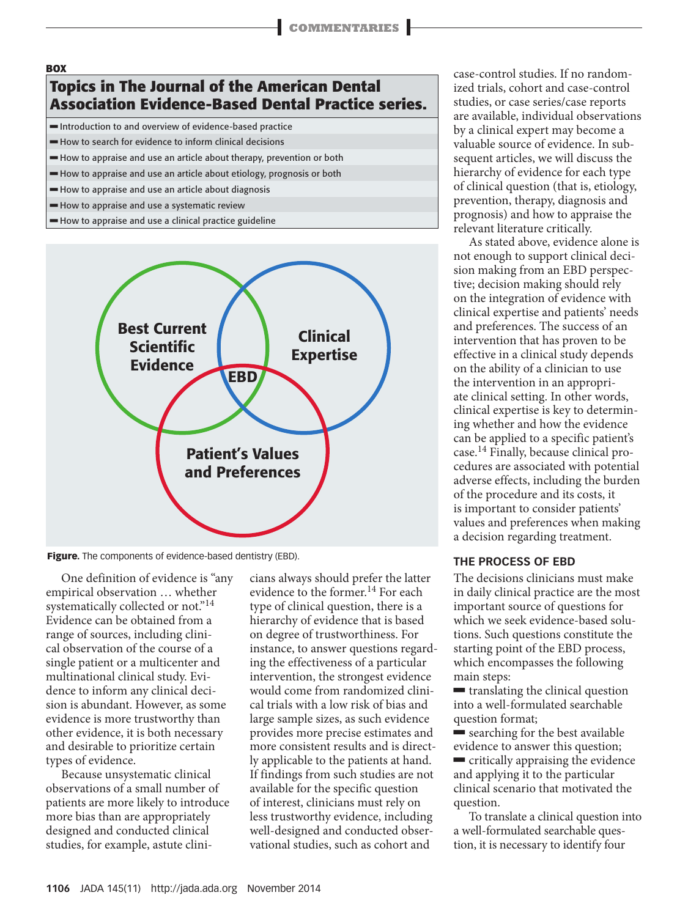### **BOX Topics in The Journal of the American Dental Association Evidence-Based Dental Practice series.**

Introduction to and overview of evidence-based practice

 $\blacksquare$  How to search for evidence to inform clinical decisions

How to appraise and use an article about therapy, prevention or both

How to appraise and use an article about etiology, prognosis or both

How to appraise and use an article about diagnosis

How to appraise and use a systematic review

How to appraise and use a clinical practice guideline



**Figure.** The components of evidence-based dentistry (EBD).

One definition of evidence is "any empirical observation … whether systematically collected or not."<sup>14</sup> Evidence can be obtained from a range of sources, including clinical observation of the course of a single patient or a multicenter and multinational clinical study. Evidence to inform any clinical decision is abundant. However, as some evidence is more trustworthy than other evidence, it is both necessary and desirable to prioritize certain types of evidence.

Because unsystematic clinical observations of a small number of patients are more likely to introduce more bias than are appropriately designed and conducted clinical studies, for example, astute clinicians always should prefer the latter evidence to the former.<sup>14</sup> For each type of clinical question, there is a hierarchy of evidence that is based on degree of trustworthiness. For instance, to answer questions regarding the effectiveness of a particular intervention, the strongest evidence would come from randomized clinical trials with a low risk of bias and large sample sizes, as such evidence provides more precise estimates and more consistent results and is directly applicable to the patients at hand. If findings from such studies are not available for the specific question of interest, clinicians must rely on less trustworthy evidence, including well-designed and conducted observational studies, such as cohort and

case-control studies. If no randomized trials, cohort and case-control studies, or case series/case reports are available, individual observations by a clinical expert may become a valuable source of evidence. In subsequent articles, we will discuss the hierarchy of evidence for each type of clinical question (that is, etiology, prevention, therapy, diagnosis and prognosis) and how to appraise the relevant literature critically.

As stated above, evidence alone is not enough to support clinical decision making from an EBD perspective; decision making should rely on the integration of evidence with clinical expertise and patients' needs and preferences. The success of an intervention that has proven to be effective in a clinical study depends on the ability of a clinician to use the intervention in an appropriate clinical setting. In other words, clinical expertise is key to determining whether and how the evidence can be applied to a specific patient's case.14 Finally, because clinical procedures are associated with potential adverse effects, including the burden of the procedure and its costs, it is important to consider patients' values and preferences when making a decision regarding treatment.

#### **THE PROCESS OF EBD**

The decisions clinicians must make in daily clinical practice are the most important source of questions for which we seek evidence-based solutions. Such questions constitute the starting point of the EBD process, which encompasses the following main steps:

 $\blacksquare$  translating the clinical question into a well-formulated searchable question format;

 $\blacksquare$  searching for the best available evidence to answer this question;

 $\blacksquare$  critically appraising the evidence and applying it to the particular clinical scenario that motivated the question.

To translate a clinical question into a well-formulated searchable question, it is necessary to identify four